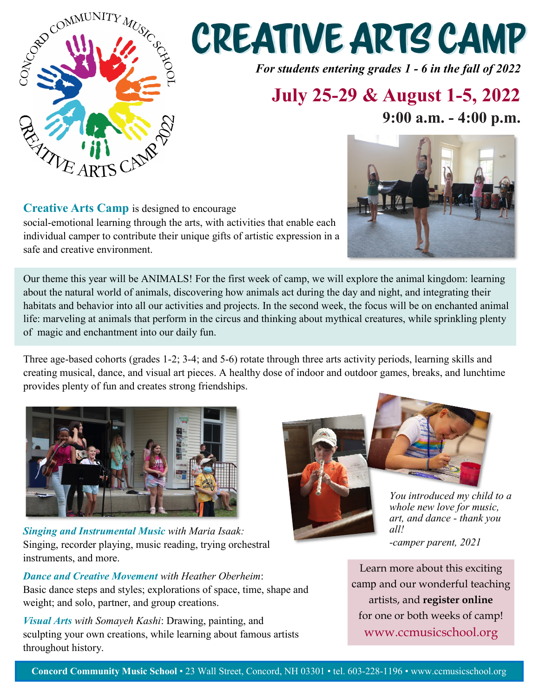

# **CREATIVE ARTS CAMP**

*For students entering grades 1 - 6 in the fall of 2022*

### **July 25-29 & August 1-5, 2022**

**9:00 a.m. - 4:00 p.m.**

**Creative Arts Camp** is designed to encourage social-emotional learning through the arts, with activities that enable each individual camper to contribute their unique gifts of artistic expression in a safe and creative environment.

Our theme this year will be ANIMALS! For the first week of camp, we will explore the animal kingdom: learning about the natural world of animals, discovering how animals act during the day and night, and integrating their habitats and behavior into all our activities and projects. In the second week, the focus will be on enchanted animal life: marveling at animals that perform in the circus and thinking about mythical creatures, while sprinkling plenty of magic and enchantment into our daily fun.

Three age-based cohorts (grades 1-2; 3-4; and 5-6) rotate through three arts activity periods, learning skills and creating musical, dance, and visual art pieces. A healthy dose of indoor and outdoor games, breaks, and lunchtime provides plenty of fun and creates strong friendships.



*Singing and Instrumental Music with Maria Isaak:* Singing, recorder playing, music reading, trying orchestral instruments, and more.

*Dance and Creative Movement with Heather Oberheim*: Basic dance steps and styles; explorations of space, time, shape and weight; and solo, partner, and group creations.

*Visual Arts with Somayeh Kashi*: Drawing, painting, and sculpting your own creations, while learning about famous artists throughout history.



*You introduced my child to a whole new love for music, art, and dance - thank you all! -camper parent, 2021*

Learn more about this exciting camp and our wonderful teaching artists, and **[register online](https://ccms.asapconnected.com/#CourseGroupID=56613)** for one or both weeks of camp! www.ccmusicschool.org